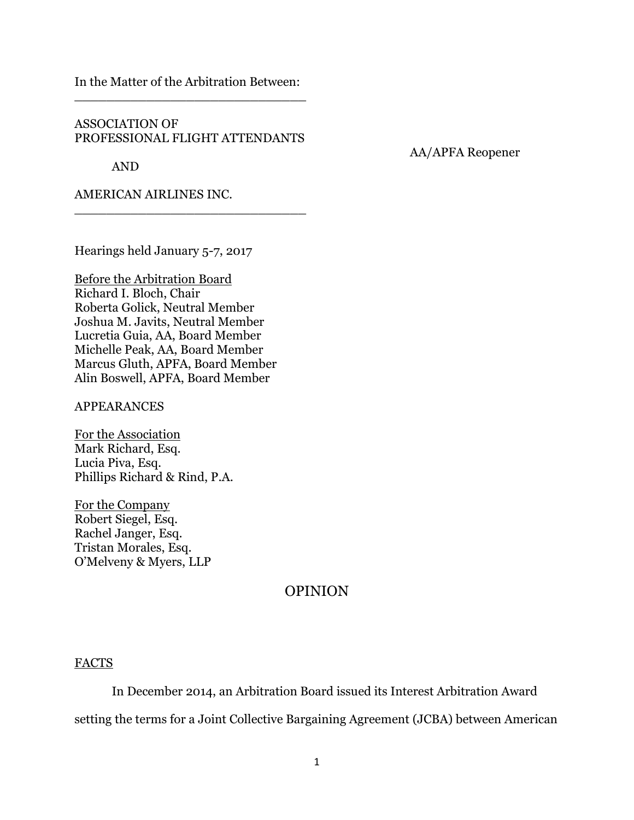In the Matter of the Arbitration Between: \_\_\_\_\_\_\_\_\_\_\_\_\_\_\_\_\_\_\_\_\_\_\_\_\_\_\_\_\_

## ASSOCIATION OF PROFESSIONAL FLIGHT ATTENDANTS

\_\_\_\_\_\_\_\_\_\_\_\_\_\_\_\_\_\_\_\_\_\_\_\_\_\_\_\_\_

AND

AA/APFA Reopener

AMERICAN AIRLINES INC.

Hearings held January 5-7, 2017

Before the Arbitration Board Richard I. Bloch, Chair Roberta Golick, Neutral Member Joshua M. Javits, Neutral Member Lucretia Guia, AA, Board Member Michelle Peak, AA, Board Member Marcus Gluth, APFA, Board Member Alin Boswell, APFA, Board Member

APPEARANCES

For the Association Mark Richard, Esq. Lucia Piva, Esq. Phillips Richard & Rind, P.A.

For the Company Robert Siegel, Esq. Rachel Janger, Esq. Tristan Morales, Esq. O'Melveny & Myers, LLP

# OPINION

### FACTS

In December 2014, an Arbitration Board issued its Interest Arbitration Award setting the terms for a Joint Collective Bargaining Agreement (JCBA) between American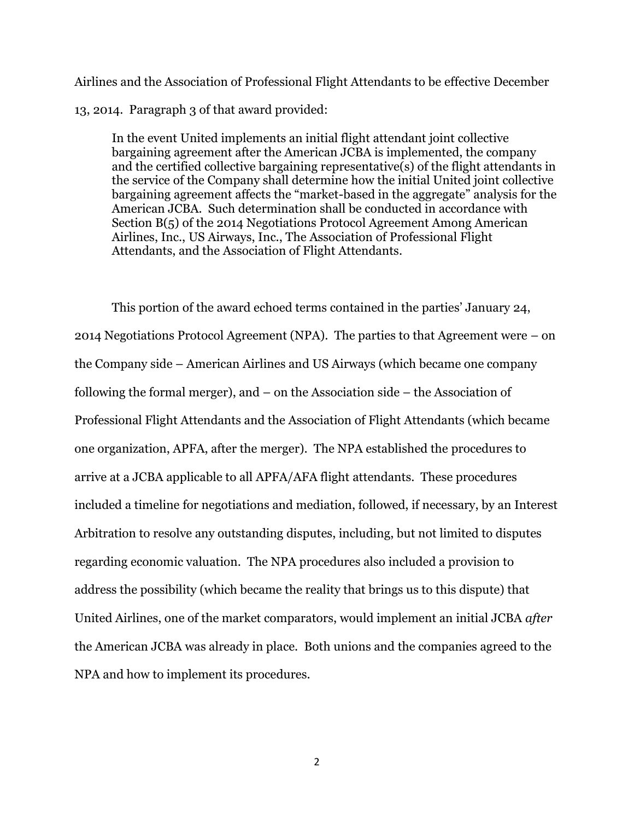Airlines and the Association of Professional Flight Attendants to be effective December 13, 2014. Paragraph 3 of that award provided:

In the event United implements an initial flight attendant joint collective bargaining agreement after the American JCBA is implemented, the company and the certified collective bargaining representative(s) of the flight attendants in the service of the Company shall determine how the initial United joint collective bargaining agreement affects the "market-based in the aggregate" analysis for the American JCBA. Such determination shall be conducted in accordance with Section B(5) of the 2014 Negotiations Protocol Agreement Among American Airlines, Inc., US Airways, Inc., The Association of Professional Flight Attendants, and the Association of Flight Attendants.

This portion of the award echoed terms contained in the parties' January 24, 2014 Negotiations Protocol Agreement (NPA). The parties to that Agreement were – on the Company side – American Airlines and US Airways (which became one company following the formal merger), and – on the Association side – the Association of Professional Flight Attendants and the Association of Flight Attendants (which became one organization, APFA, after the merger). The NPA established the procedures to arrive at a JCBA applicable to all APFA/AFA flight attendants. These procedures included a timeline for negotiations and mediation, followed, if necessary, by an Interest Arbitration to resolve any outstanding disputes, including, but not limited to disputes regarding economic valuation. The NPA procedures also included a provision to address the possibility (which became the reality that brings us to this dispute) that United Airlines, one of the market comparators, would implement an initial JCBA *after* the American JCBA was already in place. Both unions and the companies agreed to the NPA and how to implement its procedures.

2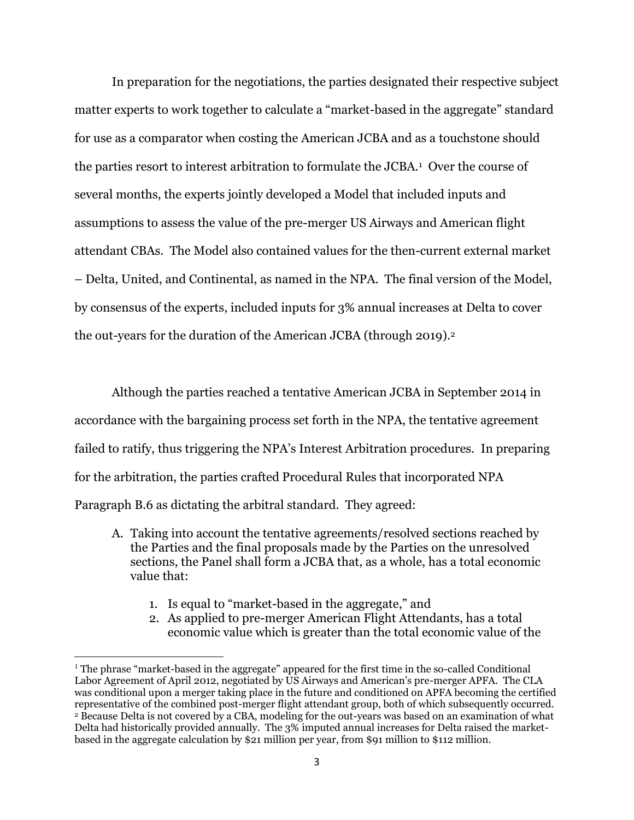In preparation for the negotiations, the parties designated their respective subject matter experts to work together to calculate a "market-based in the aggregate" standard for use as a comparator when costing the American JCBA and as a touchstone should the parties resort to interest arbitration to formulate the JCBA.<sup>1</sup> Over the course of several months, the experts jointly developed a Model that included inputs and assumptions to assess the value of the pre-merger US Airways and American flight attendant CBAs. The Model also contained values for the then-current external market – Delta, United, and Continental, as named in the NPA. The final version of the Model, by consensus of the experts, included inputs for 3% annual increases at Delta to cover the out-years for the duration of the American JCBA (through 2019).<sup>2</sup>

Although the parties reached a tentative American JCBA in September 2014 in accordance with the bargaining process set forth in the NPA, the tentative agreement failed to ratify, thus triggering the NPA's Interest Arbitration procedures. In preparing for the arbitration, the parties crafted Procedural Rules that incorporated NPA Paragraph B.6 as dictating the arbitral standard. They agreed:

- A. Taking into account the tentative agreements/resolved sections reached by the Parties and the final proposals made by the Parties on the unresolved sections, the Panel shall form a JCBA that, as a whole, has a total economic value that:
	- 1. Is equal to "market-based in the aggregate," and

 $\overline{a}$ 

2. As applied to pre-merger American Flight Attendants, has a total economic value which is greater than the total economic value of the

<sup>1</sup> The phrase "market-based in the aggregate" appeared for the first time in the so-called Conditional Labor Agreement of April 2012, negotiated by US Airways and American's pre-merger APFA. The CLA was conditional upon a merger taking place in the future and conditioned on APFA becoming the certified representative of the combined post-merger flight attendant group, both of which subsequently occurred. <sup>2</sup> Because Delta is not covered by a CBA, modeling for the out-years was based on an examination of what Delta had historically provided annually. The 3% imputed annual increases for Delta raised the marketbased in the aggregate calculation by \$21 million per year, from \$91 million to \$112 million.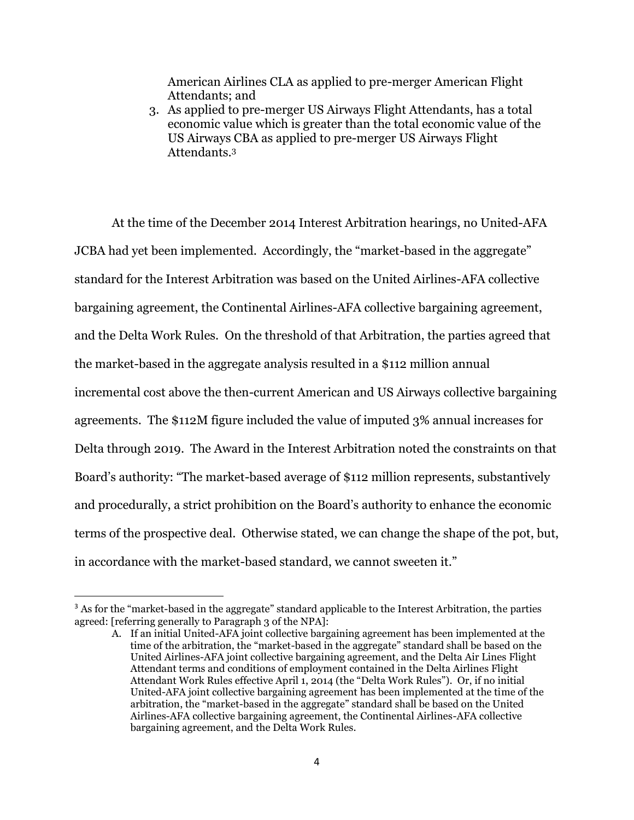American Airlines CLA as applied to pre-merger American Flight Attendants; and

3. As applied to pre-merger US Airways Flight Attendants, has a total economic value which is greater than the total economic value of the US Airways CBA as applied to pre-merger US Airways Flight Attendants.<sup>3</sup>

At the time of the December 2014 Interest Arbitration hearings, no United-AFA JCBA had yet been implemented. Accordingly, the "market-based in the aggregate" standard for the Interest Arbitration was based on the United Airlines-AFA collective bargaining agreement, the Continental Airlines-AFA collective bargaining agreement, and the Delta Work Rules. On the threshold of that Arbitration, the parties agreed that the market-based in the aggregate analysis resulted in a \$112 million annual incremental cost above the then-current American and US Airways collective bargaining agreements. The \$112M figure included the value of imputed 3% annual increases for Delta through 2019. The Award in the Interest Arbitration noted the constraints on that Board's authority: "The market-based average of \$112 million represents, substantively and procedurally, a strict prohibition on the Board's authority to enhance the economic terms of the prospective deal. Otherwise stated, we can change the shape of the pot, but, in accordance with the market-based standard, we cannot sweeten it."

<sup>&</sup>lt;sup>3</sup> As for the "market-based in the aggregate" standard applicable to the Interest Arbitration, the parties agreed: [referring generally to Paragraph 3 of the NPA]:

A. If an initial United-AFA joint collective bargaining agreement has been implemented at the time of the arbitration, the "market-based in the aggregate" standard shall be based on the United Airlines-AFA joint collective bargaining agreement, and the Delta Air Lines Flight Attendant terms and conditions of employment contained in the Delta Airlines Flight Attendant Work Rules effective April 1, 2014 (the "Delta Work Rules"). Or, if no initial United-AFA joint collective bargaining agreement has been implemented at the time of the arbitration, the "market-based in the aggregate" standard shall be based on the United Airlines-AFA collective bargaining agreement, the Continental Airlines-AFA collective bargaining agreement, and the Delta Work Rules.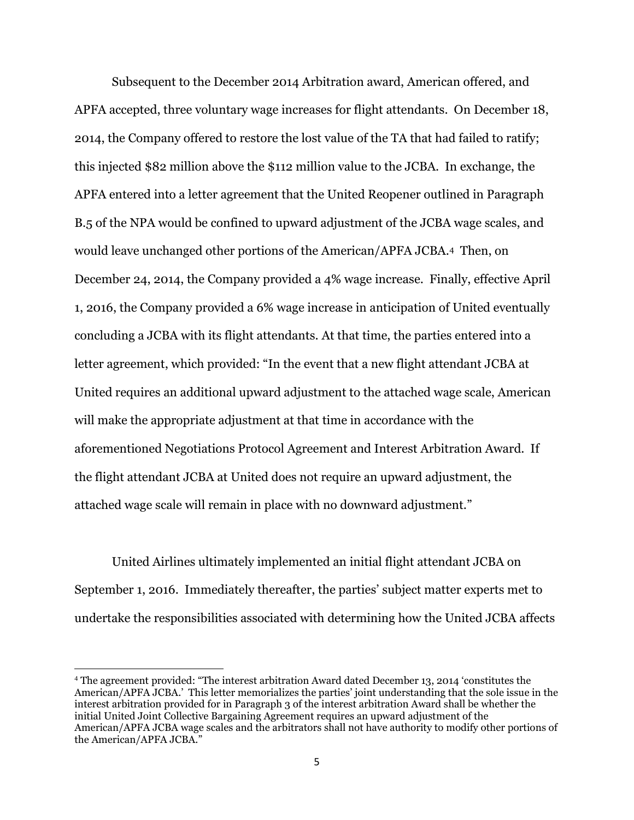Subsequent to the December 2014 Arbitration award, American offered, and APFA accepted, three voluntary wage increases for flight attendants. On December 18, 2014, the Company offered to restore the lost value of the TA that had failed to ratify; this injected \$82 million above the \$112 million value to the JCBA. In exchange, the APFA entered into a letter agreement that the United Reopener outlined in Paragraph B.5 of the NPA would be confined to upward adjustment of the JCBA wage scales, and would leave unchanged other portions of the American/APFA JCBA.4 Then, on December 24, 2014, the Company provided a 4% wage increase. Finally, effective April 1, 2016, the Company provided a 6% wage increase in anticipation of United eventually concluding a JCBA with its flight attendants. At that time, the parties entered into a letter agreement, which provided: "In the event that a new flight attendant JCBA at United requires an additional upward adjustment to the attached wage scale, American will make the appropriate adjustment at that time in accordance with the aforementioned Negotiations Protocol Agreement and Interest Arbitration Award. If the flight attendant JCBA at United does not require an upward adjustment, the attached wage scale will remain in place with no downward adjustment."

United Airlines ultimately implemented an initial flight attendant JCBA on September 1, 2016. Immediately thereafter, the parties' subject matter experts met to undertake the responsibilities associated with determining how the United JCBA affects

<sup>4</sup> The agreement provided: "The interest arbitration Award dated December 13, 2014 'constitutes the American/APFA JCBA.' This letter memorializes the parties' joint understanding that the sole issue in the interest arbitration provided for in Paragraph 3 of the interest arbitration Award shall be whether the initial United Joint Collective Bargaining Agreement requires an upward adjustment of the American/APFA JCBA wage scales and the arbitrators shall not have authority to modify other portions of the American/APFA JCBA."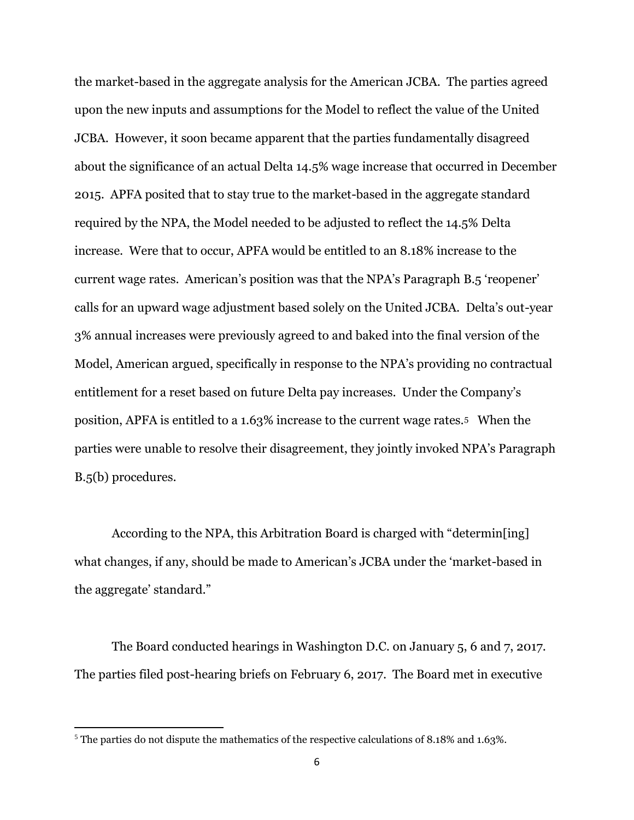the market-based in the aggregate analysis for the American JCBA. The parties agreed upon the new inputs and assumptions for the Model to reflect the value of the United JCBA. However, it soon became apparent that the parties fundamentally disagreed about the significance of an actual Delta 14.5% wage increase that occurred in December 2015. APFA posited that to stay true to the market-based in the aggregate standard required by the NPA, the Model needed to be adjusted to reflect the 14.5% Delta increase. Were that to occur, APFA would be entitled to an 8.18% increase to the current wage rates. American's position was that the NPA's Paragraph B.5 'reopener' calls for an upward wage adjustment based solely on the United JCBA. Delta's out-year 3% annual increases were previously agreed to and baked into the final version of the Model, American argued, specifically in response to the NPA's providing no contractual entitlement for a reset based on future Delta pay increases. Under the Company's position, APFA is entitled to a 1.63% increase to the current wage rates.5 When the parties were unable to resolve their disagreement, they jointly invoked NPA's Paragraph B.5(b) procedures.

According to the NPA, this Arbitration Board is charged with "determin[ing] what changes, if any, should be made to American's JCBA under the 'market-based in the aggregate' standard."

The Board conducted hearings in Washington D.C. on January 5, 6 and 7, 2017. The parties filed post-hearing briefs on February 6, 2017. The Board met in executive

<sup>&</sup>lt;sup>5</sup> The parties do not dispute the mathematics of the respective calculations of 8.18% and 1.63%.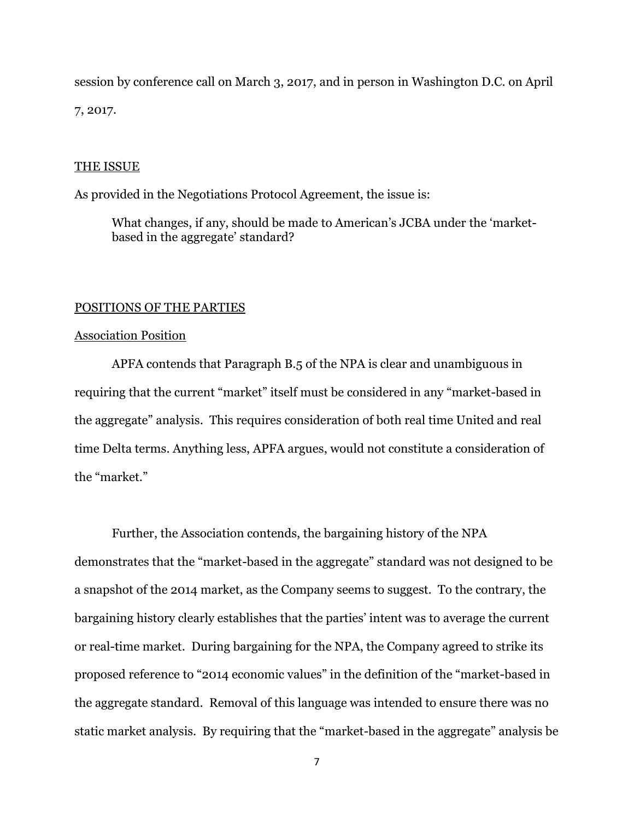session by conference call on March 3, 2017, and in person in Washington D.C. on April 7, 2017.

#### THE ISSUE

As provided in the Negotiations Protocol Agreement, the issue is:

What changes, if any, should be made to American's JCBA under the 'marketbased in the aggregate' standard?

#### POSITIONS OF THE PARTIES

### Association Position

APFA contends that Paragraph B.5 of the NPA is clear and unambiguous in requiring that the current "market" itself must be considered in any "market-based in the aggregate" analysis. This requires consideration of both real time United and real time Delta terms. Anything less, APFA argues, would not constitute a consideration of the "market."

Further, the Association contends, the bargaining history of the NPA demonstrates that the "market-based in the aggregate" standard was not designed to be a snapshot of the 2014 market, as the Company seems to suggest. To the contrary, the bargaining history clearly establishes that the parties' intent was to average the current or real-time market. During bargaining for the NPA, the Company agreed to strike its proposed reference to "2014 economic values" in the definition of the "market-based in the aggregate standard. Removal of this language was intended to ensure there was no static market analysis. By requiring that the "market-based in the aggregate" analysis be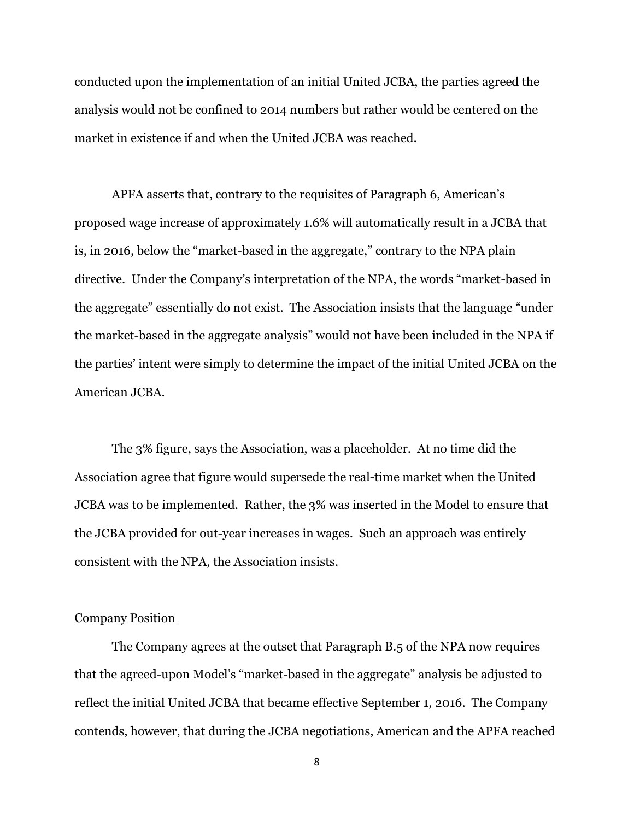conducted upon the implementation of an initial United JCBA, the parties agreed the analysis would not be confined to 2014 numbers but rather would be centered on the market in existence if and when the United JCBA was reached.

APFA asserts that, contrary to the requisites of Paragraph 6, American's proposed wage increase of approximately 1.6% will automatically result in a JCBA that is, in 2016, below the "market-based in the aggregate," contrary to the NPA plain directive. Under the Company's interpretation of the NPA, the words "market-based in the aggregate" essentially do not exist. The Association insists that the language "under the market-based in the aggregate analysis" would not have been included in the NPA if the parties' intent were simply to determine the impact of the initial United JCBA on the American JCBA.

The 3% figure, says the Association, was a placeholder. At no time did the Association agree that figure would supersede the real-time market when the United JCBA was to be implemented. Rather, the 3% was inserted in the Model to ensure that the JCBA provided for out-year increases in wages. Such an approach was entirely consistent with the NPA, the Association insists.

### Company Position

The Company agrees at the outset that Paragraph B.5 of the NPA now requires that the agreed-upon Model's "market-based in the aggregate" analysis be adjusted to reflect the initial United JCBA that became effective September 1, 2016. The Company contends, however, that during the JCBA negotiations, American and the APFA reached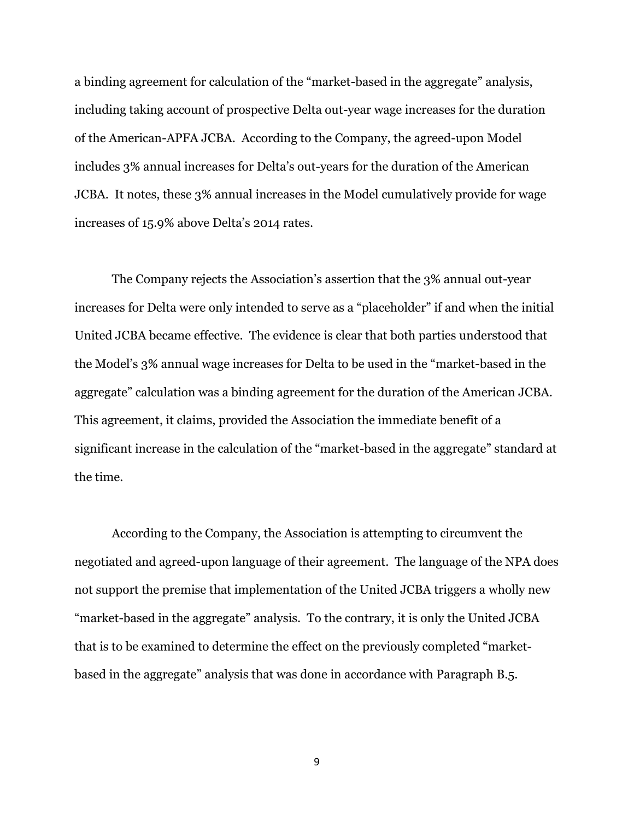a binding agreement for calculation of the "market-based in the aggregate" analysis, including taking account of prospective Delta out-year wage increases for the duration of the American-APFA JCBA. According to the Company, the agreed-upon Model includes 3% annual increases for Delta's out-years for the duration of the American JCBA. It notes, these 3% annual increases in the Model cumulatively provide for wage increases of 15.9% above Delta's 2014 rates.

The Company rejects the Association's assertion that the 3% annual out-year increases for Delta were only intended to serve as a "placeholder" if and when the initial United JCBA became effective. The evidence is clear that both parties understood that the Model's 3% annual wage increases for Delta to be used in the "market-based in the aggregate" calculation was a binding agreement for the duration of the American JCBA. This agreement, it claims, provided the Association the immediate benefit of a significant increase in the calculation of the "market-based in the aggregate" standard at the time.

According to the Company, the Association is attempting to circumvent the negotiated and agreed-upon language of their agreement. The language of the NPA does not support the premise that implementation of the United JCBA triggers a wholly new "market-based in the aggregate" analysis. To the contrary, it is only the United JCBA that is to be examined to determine the effect on the previously completed "marketbased in the aggregate" analysis that was done in accordance with Paragraph B.5.

9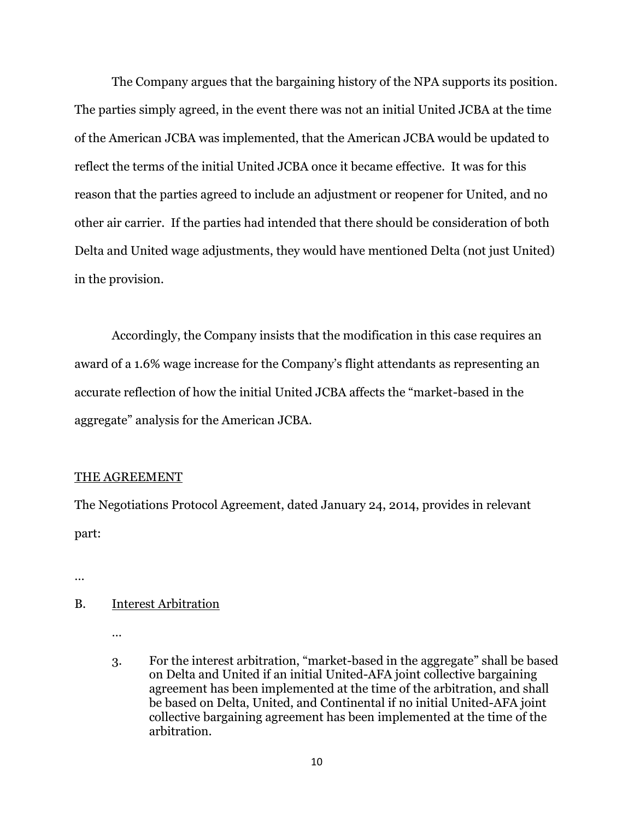The Company argues that the bargaining history of the NPA supports its position. The parties simply agreed, in the event there was not an initial United JCBA at the time of the American JCBA was implemented, that the American JCBA would be updated to reflect the terms of the initial United JCBA once it became effective. It was for this reason that the parties agreed to include an adjustment or reopener for United, and no other air carrier. If the parties had intended that there should be consideration of both Delta and United wage adjustments, they would have mentioned Delta (not just United) in the provision.

Accordingly, the Company insists that the modification in this case requires an award of a 1.6% wage increase for the Company's flight attendants as representing an accurate reflection of how the initial United JCBA affects the "market-based in the aggregate" analysis for the American JCBA.

### THE AGREEMENT

The Negotiations Protocol Agreement, dated January 24, 2014, provides in relevant part:

…

### B. Interest Arbitration

- …
- 3. For the interest arbitration, "market-based in the aggregate" shall be based on Delta and United if an initial United-AFA joint collective bargaining agreement has been implemented at the time of the arbitration, and shall be based on Delta, United, and Continental if no initial United-AFA joint collective bargaining agreement has been implemented at the time of the arbitration.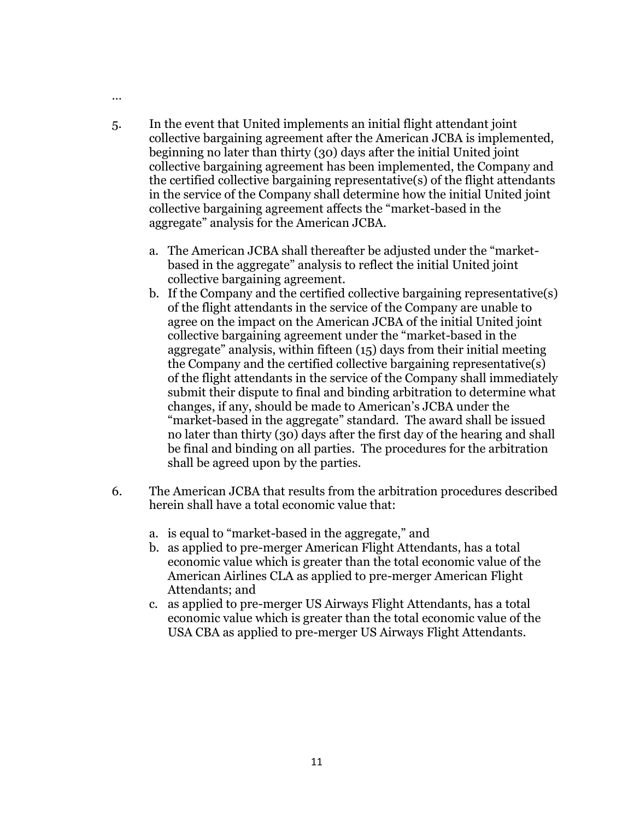- 5. In the event that United implements an initial flight attendant joint collective bargaining agreement after the American JCBA is implemented, beginning no later than thirty (30) days after the initial United joint collective bargaining agreement has been implemented, the Company and the certified collective bargaining representative(s) of the flight attendants in the service of the Company shall determine how the initial United joint collective bargaining agreement affects the "market-based in the aggregate" analysis for the American JCBA.
	- a. The American JCBA shall thereafter be adjusted under the "marketbased in the aggregate" analysis to reflect the initial United joint collective bargaining agreement.
	- b. If the Company and the certified collective bargaining representative(s) of the flight attendants in the service of the Company are unable to agree on the impact on the American JCBA of the initial United joint collective bargaining agreement under the "market-based in the aggregate" analysis, within fifteen (15) days from their initial meeting the Company and the certified collective bargaining representative(s) of the flight attendants in the service of the Company shall immediately submit their dispute to final and binding arbitration to determine what changes, if any, should be made to American's JCBA under the "market-based in the aggregate" standard. The award shall be issued no later than thirty (30) days after the first day of the hearing and shall be final and binding on all parties. The procedures for the arbitration shall be agreed upon by the parties.
- 6. The American JCBA that results from the arbitration procedures described herein shall have a total economic value that:
	- a. is equal to "market-based in the aggregate," and
	- b. as applied to pre-merger American Flight Attendants, has a total economic value which is greater than the total economic value of the American Airlines CLA as applied to pre-merger American Flight Attendants; and
	- c. as applied to pre-merger US Airways Flight Attendants, has a total economic value which is greater than the total economic value of the USA CBA as applied to pre-merger US Airways Flight Attendants.

…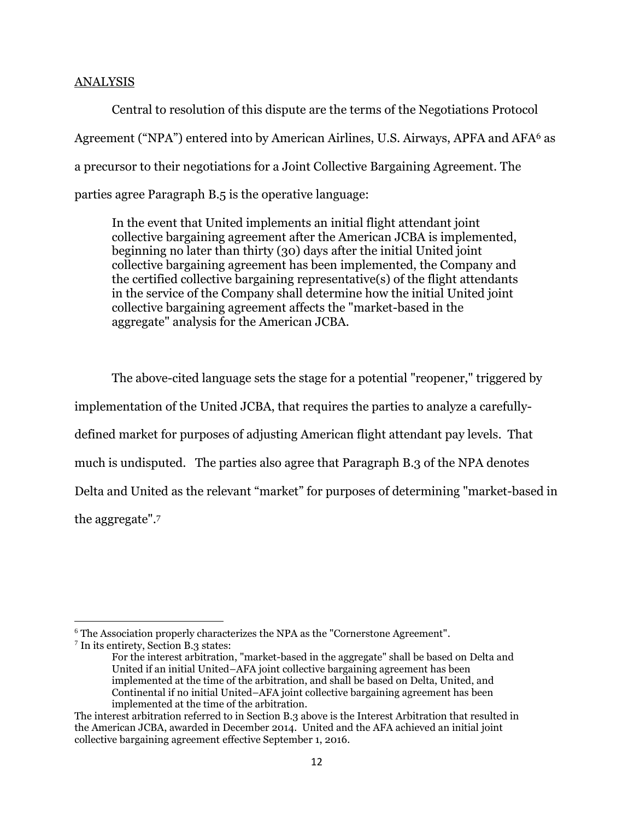### ANALYSIS

Central to resolution of this dispute are the terms of the Negotiations Protocol Agreement ("NPA") entered into by American Airlines, U.S. Airways, APFA and AFA<sup>6</sup> as a precursor to their negotiations for a Joint Collective Bargaining Agreement. The parties agree Paragraph B.5 is the operative language:

In the event that United implements an initial flight attendant joint collective bargaining agreement after the American JCBA is implemented, beginning no later than thirty (30) days after the initial United joint collective bargaining agreement has been implemented, the Company and the certified collective bargaining representative(s) of the flight attendants in the service of the Company shall determine how the initial United joint collective bargaining agreement affects the "market-based in the aggregate" analysis for the American JCBA.

The above-cited language sets the stage for a potential "reopener," triggered by implementation of the United JCBA, that requires the parties to analyze a carefullydefined market for purposes of adjusting American flight attendant pay levels. That much is undisputed. The parties also agree that Paragraph B.3 of the NPA denotes Delta and United as the relevant "market" for purposes of determining "market-based in the aggregate".<sup>7</sup>

<sup>&</sup>lt;sup>6</sup> The Association properly characterizes the NPA as the "Cornerstone Agreement".

<sup>7</sup> In its entirety, Section B.3 states:

For the interest arbitration, "market-based in the aggregate" shall be based on Delta and United if an initial United–AFA joint collective bargaining agreement has been implemented at the time of the arbitration, and shall be based on Delta, United, and Continental if no initial United–AFA joint collective bargaining agreement has been implemented at the time of the arbitration.

The interest arbitration referred to in Section B.3 above is the Interest Arbitration that resulted in the American JCBA, awarded in December 2014. United and the AFA achieved an initial joint collective bargaining agreement effective September 1, 2016.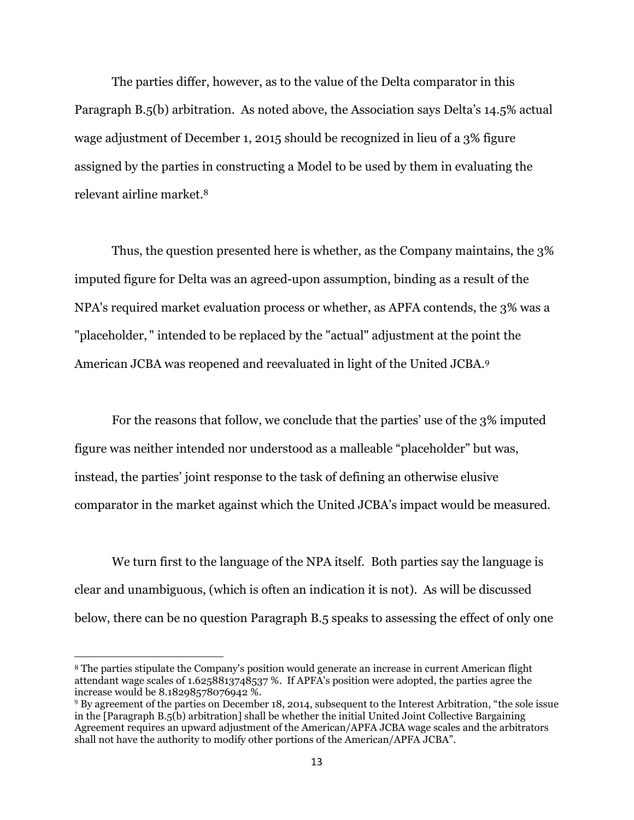The parties differ, however, as to the value of the Delta comparator in this Paragraph B.5(b) arbitration. As noted above, the Association says Delta's 14.5% actual wage adjustment of December 1, 2015 should be recognized in lieu of a 3% figure assigned by the parties in constructing a Model to be used by them in evaluating the relevant airline market.<sup>8</sup>

Thus, the question presented here is whether, as the Company maintains, the 3% imputed figure for Delta was an agreed-upon assumption, binding as a result of the NPA's required market evaluation process or whether, as APFA contends, the 3% was a "placeholder, " intended to be replaced by the "actual" adjustment at the point the American JCBA was reopened and reevaluated in light of the United JCBA. 9

For the reasons that follow, we conclude that the parties' use of the 3% imputed figure was neither intended nor understood as a malleable "placeholder" but was, instead, the parties' joint response to the task of defining an otherwise elusive comparator in the market against which the United JCBA's impact would be measured.

We turn first to the language of the NPA itself. Both parties say the language is clear and unambiguous, (which is often an indication it is not). As will be discussed below, there can be no question Paragraph B.5 speaks to assessing the effect of only one

<sup>8</sup> The parties stipulate the Company's position would generate an increase in current American flight attendant wage scales of 1.6258813748537 %. If APFA's position were adopted, the parties agree the increase would be 8.18298578076942 %.

<sup>&</sup>lt;sup>9</sup> By agreement of the parties on December 18, 2014, subsequent to the Interest Arbitration, "the sole issue in the [Paragraph B.5(b) arbitration] shall be whether the initial United Joint Collective Bargaining Agreement requires an upward adjustment of the American/APFA JCBA wage scales and the arbitrators shall not have the authority to modify other portions of the American/APFA JCBA".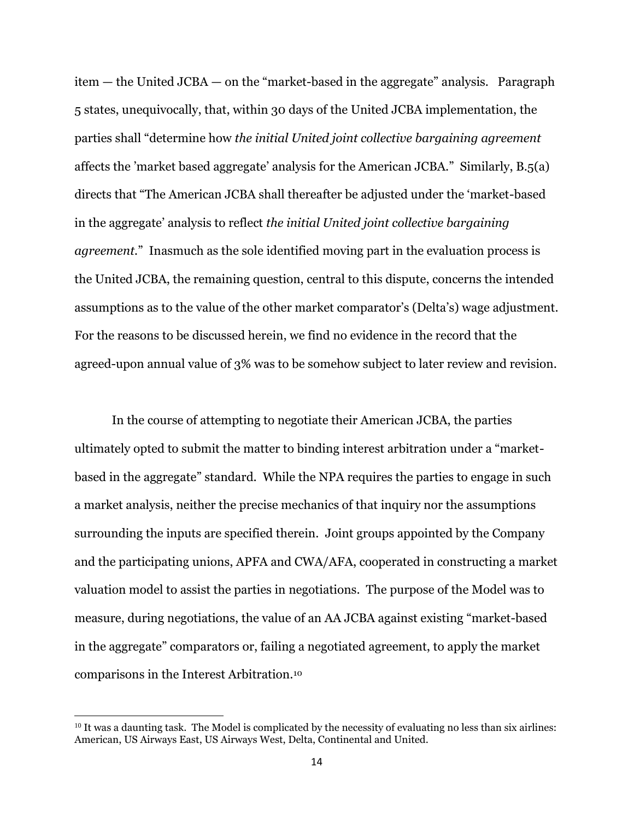item — the United JCBA — on the "market-based in the aggregate" analysis. Paragraph 5 states, unequivocally, that, within 30 days of the United JCBA implementation, the parties shall "determine how *the initial United joint collective bargaining agreement* affects the 'market based aggregate' analysis for the American JCBA." Similarly, B.5(a) directs that "The American JCBA shall thereafter be adjusted under the 'market-based in the aggregate' analysis to reflect *the initial United joint collective bargaining agreement.*" Inasmuch as the sole identified moving part in the evaluation process is the United JCBA, the remaining question, central to this dispute, concerns the intended assumptions as to the value of the other market comparator's (Delta's) wage adjustment. For the reasons to be discussed herein, we find no evidence in the record that the agreed-upon annual value of 3% was to be somehow subject to later review and revision.

In the course of attempting to negotiate their American JCBA, the parties ultimately opted to submit the matter to binding interest arbitration under a "marketbased in the aggregate" standard. While the NPA requires the parties to engage in such a market analysis, neither the precise mechanics of that inquiry nor the assumptions surrounding the inputs are specified therein. Joint groups appointed by the Company and the participating unions, APFA and CWA/AFA, cooperated in constructing a market valuation model to assist the parties in negotiations. The purpose of the Model was to measure, during negotiations, the value of an AA JCBA against existing "market-based in the aggregate" comparators or, failing a negotiated agreement, to apply the market comparisons in the Interest Arbitration.<sup>10</sup>

<sup>&</sup>lt;sup>10</sup> It was a daunting task. The Model is complicated by the necessity of evaluating no less than six airlines: American, US Airways East, US Airways West, Delta, Continental and United.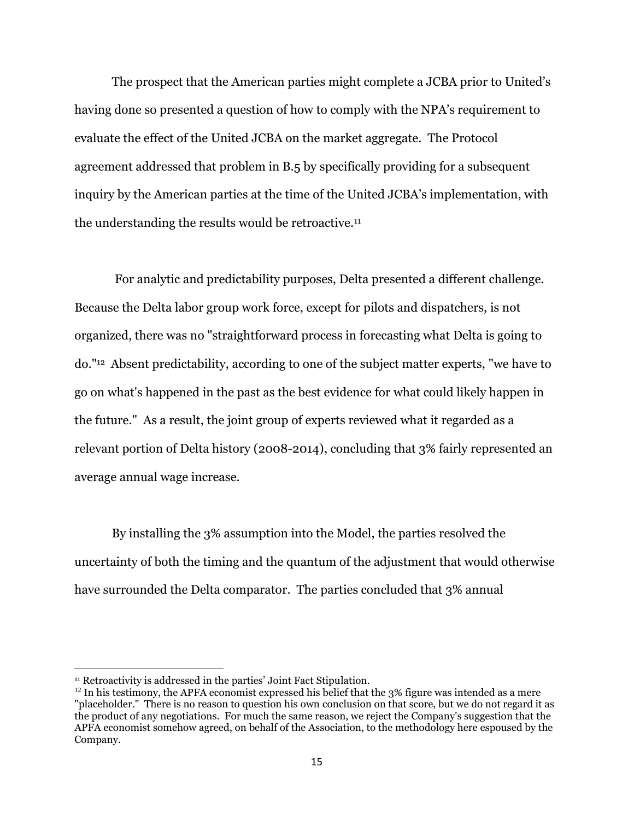The prospect that the American parties might complete a JCBA prior to United's having done so presented a question of how to comply with the NPA's requirement to evaluate the effect of the United JCBA on the market aggregate. The Protocol agreement addressed that problem in B.5 by specifically providing for a subsequent inquiry by the American parties at the time of the United JCBA's implementation, with the understanding the results would be retroactive.<sup>11</sup>

For analytic and predictability purposes, Delta presented a different challenge. Because the Delta labor group work force, except for pilots and dispatchers, is not organized, there was no "straightforward process in forecasting what Delta is going to do."<sup>12</sup> Absent predictability, according to one of the subject matter experts, "we have to go on what's happened in the past as the best evidence for what could likely happen in the future." As a result, the joint group of experts reviewed what it regarded as a relevant portion of Delta history (2008-2014), concluding that 3% fairly represented an average annual wage increase.

By installing the 3% assumption into the Model, the parties resolved the uncertainty of both the timing and the quantum of the adjustment that would otherwise have surrounded the Delta comparator. The parties concluded that 3% annual

<sup>&</sup>lt;sup>11</sup> Retroactivity is addressed in the parties' Joint Fact Stipulation.

 $12$  In his testimony, the APFA economist expressed his belief that the 3% figure was intended as a mere "placeholder." There is no reason to question his own conclusion on that score, but we do not regard it as the product of any negotiations. For much the same reason, we reject the Company's suggestion that the APFA economist somehow agreed, on behalf of the Association, to the methodology here espoused by the Company.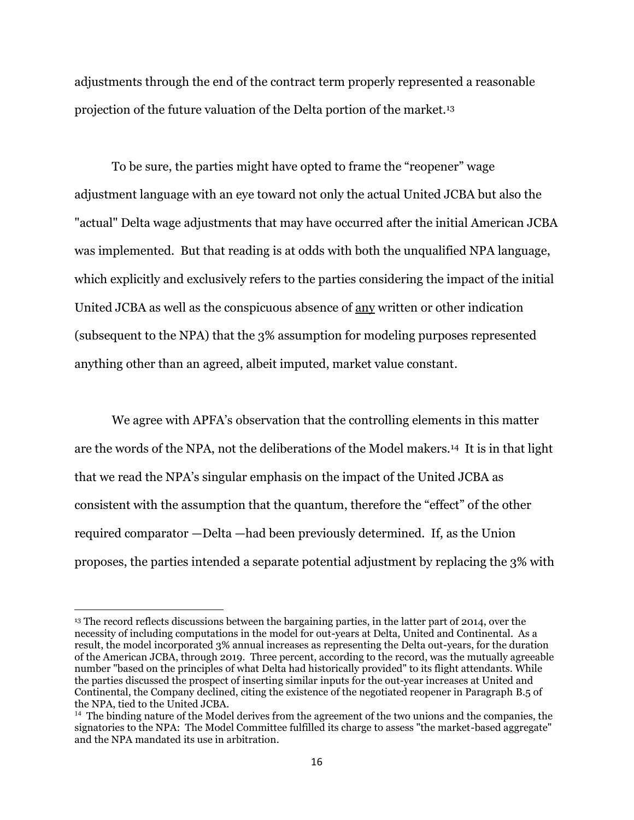adjustments through the end of the contract term properly represented a reasonable projection of the future valuation of the Delta portion of the market.<sup>13</sup>

To be sure, the parties might have opted to frame the "reopener" wage adjustment language with an eye toward not only the actual United JCBA but also the "actual" Delta wage adjustments that may have occurred after the initial American JCBA was implemented. But that reading is at odds with both the unqualified NPA language, which explicitly and exclusively refers to the parties considering the impact of the initial United JCBA as well as the conspicuous absence of any written or other indication (subsequent to the NPA) that the 3% assumption for modeling purposes represented anything other than an agreed, albeit imputed, market value constant.

We agree with APFA's observation that the controlling elements in this matter are the words of the NPA, not the deliberations of the Model makers.14 It is in that light that we read the NPA's singular emphasis on the impact of the United JCBA as consistent with the assumption that the quantum, therefore the "effect" of the other required comparator —Delta —had been previously determined. If, as the Union proposes, the parties intended a separate potential adjustment by replacing the 3% with

<sup>13</sup> The record reflects discussions between the bargaining parties, in the latter part of 2014, over the necessity of including computations in the model for out-years at Delta, United and Continental. As a result, the model incorporated 3% annual increases as representing the Delta out-years, for the duration of the American JCBA, through 2019. Three percent, according to the record, was the mutually agreeable number "based on the principles of what Delta had historically provided" to its flight attendants. While the parties discussed the prospect of inserting similar inputs for the out-year increases at United and Continental, the Company declined, citing the existence of the negotiated reopener in Paragraph B.5 of the NPA, tied to the United JCBA.

<sup>&</sup>lt;sup>14</sup> The binding nature of the Model derives from the agreement of the two unions and the companies, the signatories to the NPA: The Model Committee fulfilled its charge to assess "the market-based aggregate" and the NPA mandated its use in arbitration.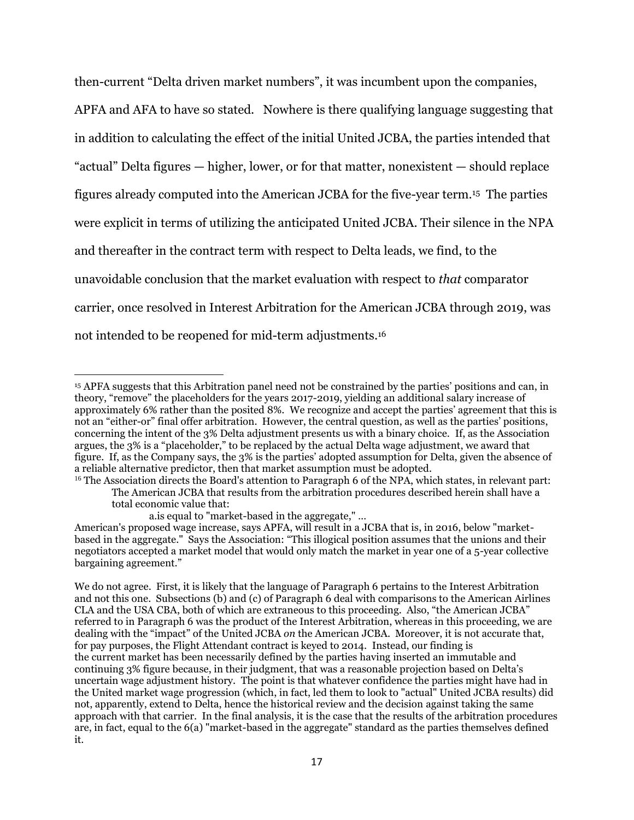then-current "Delta driven market numbers", it was incumbent upon the companies, APFA and AFA to have so stated. Nowhere is there qualifying language suggesting that in addition to calculating the effect of the initial United JCBA, the parties intended that "actual" Delta figures — higher, lower, or for that matter, nonexistent — should replace figures already computed into the American JCBA for the five-year term. <sup>15</sup> The parties were explicit in terms of utilizing the anticipated United JCBA. Their silence in the NPA and thereafter in the contract term with respect to Delta leads, we find, to the unavoidable conclusion that the market evaluation with respect to *that* comparator carrier, once resolved in Interest Arbitration for the American JCBA through 2019, was not intended to be reopened for mid-term adjustments. 16

a.is equal to "market-based in the aggregate," …

<sup>15</sup> APFA suggests that this Arbitration panel need not be constrained by the parties' positions and can, in theory, "remove" the placeholders for the years 2017-2019, yielding an additional salary increase of approximately 6% rather than the posited 8%. We recognize and accept the parties' agreement that this is not an "either-or" final offer arbitration. However, the central question, as well as the parties' positions, concerning the intent of the 3% Delta adjustment presents us with a binary choice. If, as the Association argues, the 3% is a "placeholder," to be replaced by the actual Delta wage adjustment, we award that figure. If, as the Company says, the 3% is the parties' adopted assumption for Delta, given the absence of a reliable alternative predictor, then that market assumption must be adopted.

<sup>&</sup>lt;sup>16</sup> The Association directs the Board's attention to Paragraph 6 of the NPA, which states, in relevant part: The American JCBA that results from the arbitration procedures described herein shall have a total economic value that:

American's proposed wage increase, says APFA, will result in a JCBA that is, in 2016, below "marketbased in the aggregate." Says the Association: "This illogical position assumes that the unions and their negotiators accepted a market model that would only match the market in year one of a 5-year collective bargaining agreement."

We do not agree. First, it is likely that the language of Paragraph 6 pertains to the Interest Arbitration and not this one. Subsections (b) and (c) of Paragraph 6 deal with comparisons to the American Airlines CLA and the USA CBA, both of which are extraneous to this proceeding. Also, "the American JCBA" referred to in Paragraph 6 was the product of the Interest Arbitration, whereas in this proceeding, we are dealing with the "impact" of the United JCBA *on* the American JCBA. Moreover, it is not accurate that, for pay purposes, the Flight Attendant contract is keyed to 2014. Instead, our finding is the current market has been necessarily defined by the parties having inserted an immutable and continuing 3% figure because, in their judgment, that was a reasonable projection based on Delta's uncertain wage adjustment history. The point is that whatever confidence the parties might have had in the United market wage progression (which, in fact, led them to look to "actual" United JCBA results) did not, apparently, extend to Delta, hence the historical review and the decision against taking the same approach with that carrier. In the final analysis, it is the case that the results of the arbitration procedures are, in fact, equal to the 6(a) "market-based in the aggregate" standard as the parties themselves defined it.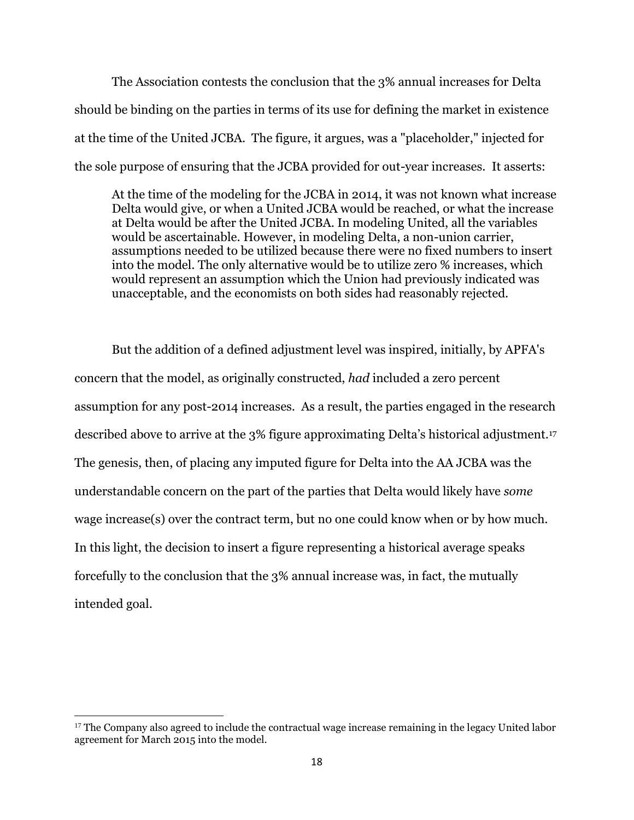The Association contests the conclusion that the 3% annual increases for Delta should be binding on the parties in terms of its use for defining the market in existence at the time of the United JCBA. The figure, it argues, was a "placeholder," injected for the sole purpose of ensuring that the JCBA provided for out-year increases. It asserts:

At the time of the modeling for the JCBA in 2014, it was not known what increase Delta would give, or when a United JCBA would be reached, or what the increase at Delta would be after the United JCBA. In modeling United, all the variables would be ascertainable. However, in modeling Delta, a non-union carrier, assumptions needed to be utilized because there were no fixed numbers to insert into the model. The only alternative would be to utilize zero % increases, which would represent an assumption which the Union had previously indicated was unacceptable, and the economists on both sides had reasonably rejected.

But the addition of a defined adjustment level was inspired, initially, by APFA's concern that the model, as originally constructed, *had* included a zero percent assumption for any post-2014 increases. As a result, the parties engaged in the research described above to arrive at the 3% figure approximating Delta's historical adjustment.<sup>17</sup> The genesis, then, of placing any imputed figure for Delta into the AA JCBA was the understandable concern on the part of the parties that Delta would likely have *some* wage increase(s) over the contract term, but no one could know when or by how much. In this light, the decision to insert a figure representing a historical average speaks forcefully to the conclusion that the 3% annual increase was, in fact, the mutually intended goal.

<sup>&</sup>lt;sup>17</sup> The Company also agreed to include the contractual wage increase remaining in the legacy United labor agreement for March 2015 into the model.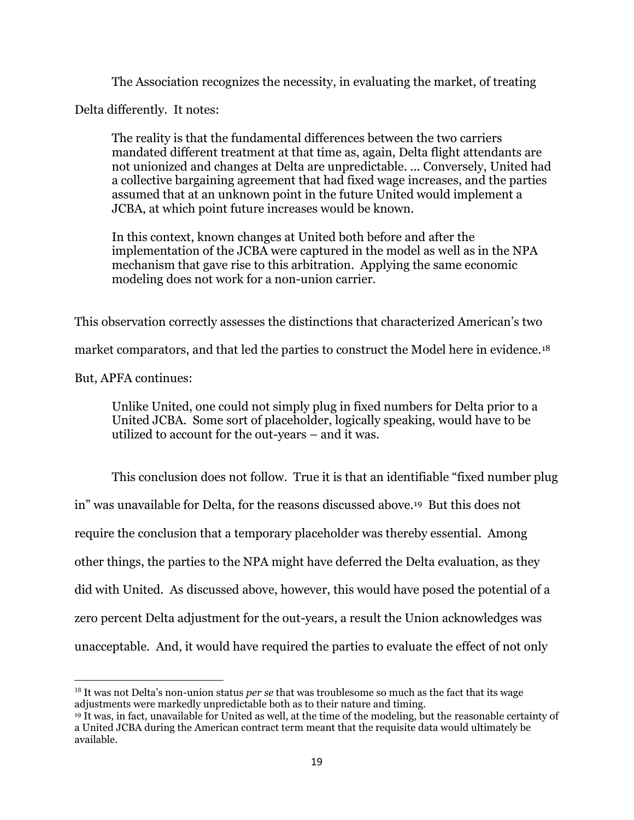The Association recognizes the necessity, in evaluating the market, of treating

Delta differently. It notes:

The reality is that the fundamental differences between the two carriers mandated different treatment at that time as, again, Delta flight attendants are not unionized and changes at Delta are unpredictable. ... Conversely, United had a collective bargaining agreement that had fixed wage increases, and the parties assumed that at an unknown point in the future United would implement a JCBA, at which point future increases would be known.

In this context, known changes at United both before and after the implementation of the JCBA were captured in the model as well as in the NPA mechanism that gave rise to this arbitration. Applying the same economic modeling does not work for a non-union carrier.

This observation correctly assesses the distinctions that characterized American's two

market comparators, and that led the parties to construct the Model here in evidence.<sup>18</sup>

But, APFA continues:

 $\overline{a}$ 

Unlike United, one could not simply plug in fixed numbers for Delta prior to a United JCBA. Some sort of placeholder, logically speaking, would have to be utilized to account for the out-years – and it was.

This conclusion does not follow. True it is that an identifiable "fixed number plug in" was unavailable for Delta, for the reasons discussed above.19 But this does not require the conclusion that a temporary placeholder was thereby essential. Among other things, the parties to the NPA might have deferred the Delta evaluation, as they did with United. As discussed above, however, this would have posed the potential of a zero percent Delta adjustment for the out-years, a result the Union acknowledges was unacceptable. And, it would have required the parties to evaluate the effect of not only

<sup>18</sup> It was not Delta's non-union status *per se* that was troublesome so much as the fact that its wage adjustments were markedly unpredictable both as to their nature and timing.

<sup>19</sup> It was, in fact, unavailable for United as well, at the time of the modeling, but the reasonable certainty of a United JCBA during the American contract term meant that the requisite data would ultimately be available.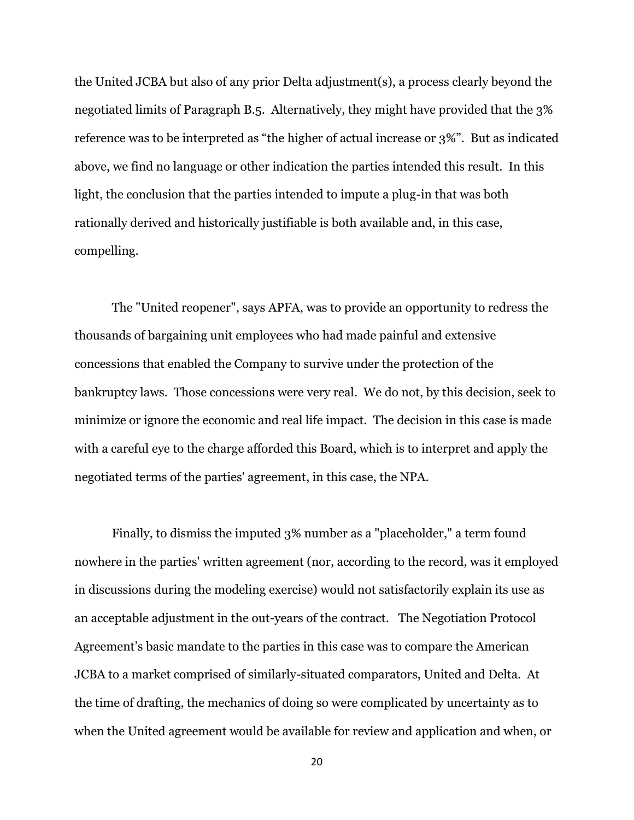the United JCBA but also of any prior Delta adjustment(s), a process clearly beyond the negotiated limits of Paragraph B.5. Alternatively, they might have provided that the 3% reference was to be interpreted as "the higher of actual increase or 3%". But as indicated above, we find no language or other indication the parties intended this result. In this light, the conclusion that the parties intended to impute a plug-in that was both rationally derived and historically justifiable is both available and, in this case, compelling.

The "United reopener", says APFA, was to provide an opportunity to redress the thousands of bargaining unit employees who had made painful and extensive concessions that enabled the Company to survive under the protection of the bankruptcy laws. Those concessions were very real. We do not, by this decision, seek to minimize or ignore the economic and real life impact. The decision in this case is made with a careful eye to the charge afforded this Board, which is to interpret and apply the negotiated terms of the parties' agreement, in this case, the NPA.

Finally, to dismiss the imputed 3% number as a "placeholder," a term found nowhere in the parties' written agreement (nor, according to the record, was it employed in discussions during the modeling exercise) would not satisfactorily explain its use as an acceptable adjustment in the out-years of the contract. The Negotiation Protocol Agreement's basic mandate to the parties in this case was to compare the American JCBA to a market comprised of similarly-situated comparators, United and Delta. At the time of drafting, the mechanics of doing so were complicated by uncertainty as to when the United agreement would be available for review and application and when, or

20